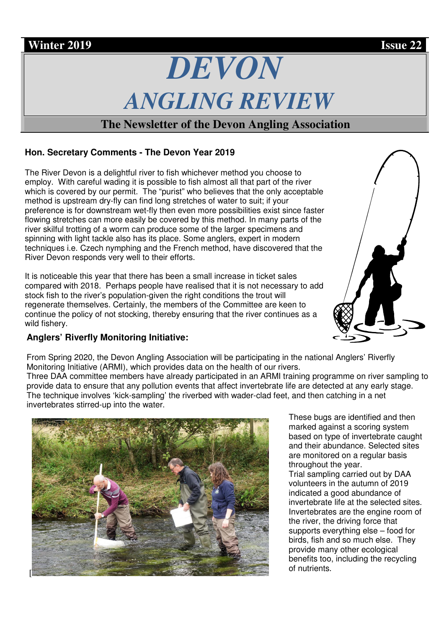# *DEVON ANGLING REVIEW*

# **The Newsletter of the Devon Angling Association**

# **Hon. Secretary Comments - The Devon Year 2019**

The River Devon is a delightful river to fish whichever method you choose to employ. With careful wading it is possible to fish almost all that part of the river which is covered by our permit. The "purist" who believes that the only acceptable method is upstream dry-fly can find long stretches of water to suit; if your preference is for downstream wet-fly then even more possibilities exist since faster flowing stretches can more easily be covered by this method. In many parts of the river skilful trotting of a worm can produce some of the larger specimens and spinning with light tackle also has its place. Some anglers, expert in modern techniques i.e. Czech nymphing and the French method, have discovered that the River Devon responds very well to their efforts.

It is noticeable this year that there has been a small increase in ticket sales compared with 2018. Perhaps people have realised that it is not necessary to add stock fish to the river's population-given the right conditions the trout will regenerate themselves. Certainly, the members of the Committee are keen to continue the policy of not stocking, thereby ensuring that the river continues as a wild fishery.

# **Anglers' Riverfly Monitoring Initiative:**

From Spring 2020, the Devon Angling Association will be participating in the national Anglers' Riverfly Monitoring Initiative (ARMI), which provides data on the health of our rivers.

Three DAA committee members have already participated in an ARMI training programme on river sampling to provide data to ensure that any pollution events that affect invertebrate life are detected at any early stage. The technique involves 'kick-sampling' the riverbed with wader-clad feet, and then catching in a net invertebrates stirred-up into the water.

**Comment of the Comment of Communication** 

These bugs are identified and then marked against a scoring system based on type of invertebrate caught and their abundance. Selected sites are monitored on a regular basis throughout the year.

Trial sampling carried out by DAA volunteers in the autumn of 2019 indicated a good abundance of invertebrate life at the selected sites. Invertebrates are the engine room of the river, the driving force that supports everything else – food for birds, fish and so much else. They provide many other ecological benefits too, including the recycling of nutrients.